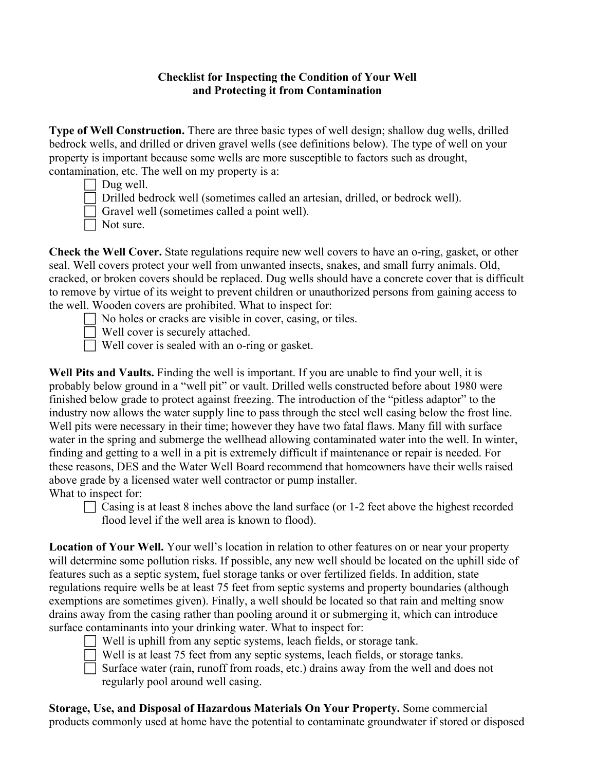## **Checklist for Inspecting the Condition of Your Well and Protecting it from Contamination**

**Type of Well Construction.** There are three basic types of well design; shallow dug wells, drilled bedrock wells, and drilled or driven gravel wells (see definitions below). The type of well on your property is important because some wells are more susceptible to factors such as drought, contamination, etc. The well on my property is a:

 $\Box$  Dug well.

 $\Box$  Drilled bedrock well (sometimes called an artesian, drilled, or bedrock well).

 $\Box$  Gravel well (sometimes called a point well).

 $\Box$  Not sure.

**Check the Well Cover.** State regulations require new well covers to have an o-ring, gasket, or other seal. Well covers protect your well from unwanted insects, snakes, and small furry animals. Old, cracked, or broken covers should be replaced. Dug wells should have a concrete cover that is difficult to remove by virtue of its weight to prevent children or unauthorized persons from gaining access to the well. Wooden covers are prohibited. What to inspect for:

 $\Box$  No holes or cracks are visible in cover, casing, or tiles.

 $\Box$  Well cover is securely attached.

 $\Box$  Well cover is sealed with an o-ring or gasket.

**Well Pits and Vaults.** Finding the well is important. If you are unable to find your well, it is probably below ground in a "well pit" or vault. Drilled wells constructed before about 1980 were finished below grade to protect against freezing. The introduction of the "pitless adaptor" to the industry now allows the water supply line to pass through the steel well casing below the frost line. Well pits were necessary in their time; however they have two fatal flaws. Many fill with surface water in the spring and submerge the wellhead allowing contaminated water into the well. In winter, finding and getting to a well in a pit is extremely difficult if maintenance or repair is needed. For these reasons, DES and the Water Well Board recommend that homeowners have their wells raised above grade by a licensed water well contractor or pump installer. What to inspect for:

 $\Box$  Casing is at least 8 inches above the land surface (or 1-2 feet above the highest recorded flood level if the well area is known to flood).

**Location of Your Well.** Your well's location in relation to other features on or near your property will determine some pollution risks. If possible, any new well should be located on the uphill side of features such as a septic system, fuel storage tanks or over fertilized fields. In addition, state regulations require wells be at least 75 feet from septic systems and property boundaries (although exemptions are sometimes given). Finally, a well should be located so that rain and melting snow drains away from the casing rather than pooling around it or submerging it, which can introduce surface contaminants into your drinking water. What to inspect for:

 $\Box$  Well is uphill from any septic systems, leach fields, or storage tank.

 $\Box$  Well is at least 75 feet from any septic systems, leach fields, or storage tanks.

 $\Box$  Surface water (rain, runoff from roads, etc.) drains away from the well and does not regularly pool around well casing.

**Storage, Use, and Disposal of Hazardous Materials On Your Property.** Some commercial products commonly used at home have the potential to contaminate groundwater if stored or disposed